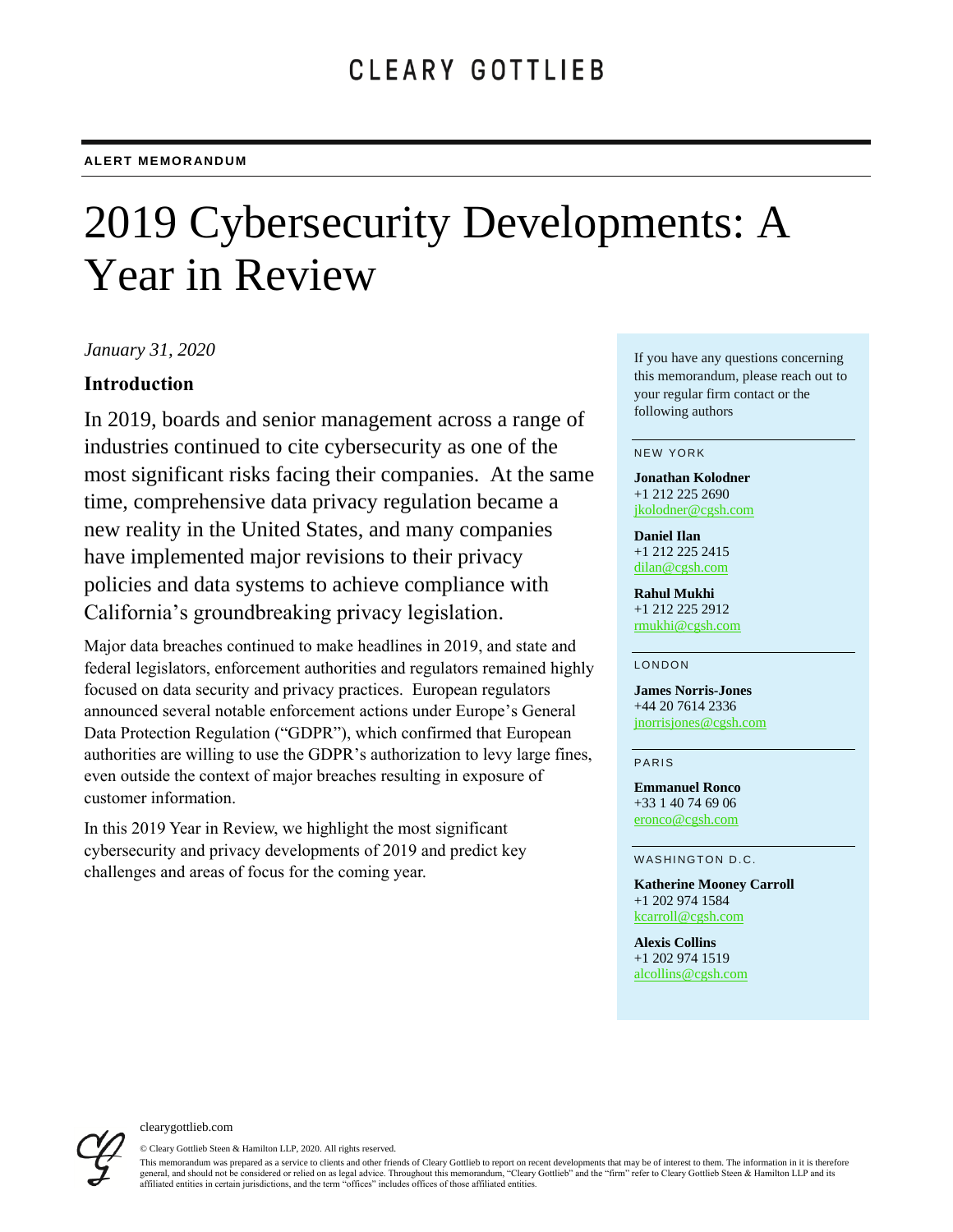# 2019 Cybersecurity Developments: A Year in Review

*January 31, 2020*

## **Introduction**

In 2019, boards and senior management across a range of industries continued to cite cybersecurity as one of the most significant risks facing their companies. At the same time, comprehensive data privacy regulation became a new reality in the United States, and many companies have implemented major revisions to their privacy policies and data systems to achieve compliance with California's groundbreaking privacy legislation.

Major data breaches continued to make headlines in 2019, and state and federal legislators, enforcement authorities and regulators remained highly focused on data security and privacy practices. European regulators announced several notable enforcement actions under Europe's General Data Protection Regulation ("GDPR"), which confirmed that European authorities are willing to use the GDPR's authorization to levy large fines, even outside the context of major breaches resulting in exposure of customer information.

In this 2019 Year in Review, we highlight the most significant cybersecurity and privacy developments of 2019 and predict key challenges and areas of focus for the coming year.

If you have any questions concerning this memorandum, please reach out to your regular firm contact or the following authors

#### **NEW YORK**

**Jonathan Kolodner** +1 212 225 2690 [jkolodner@cgsh.com](mailto:jkolodner@cgsh.com)

**Daniel Ilan** +1 212 225 2415 [dilan@cgsh.com](mailto:dilan@cgsh.com)

**Rahul Mukhi** +1 212 225 2912 [rmukhi@cgsh.com](mailto:rmukhi@cgsh.com)

#### **LONDON**

**James Norris-Jones** +44 20 7614 2336 [jnorrisjones@cgsh.com](mailto:jnorrisjones@cgsh.com)

**PARIS** 

**Emmanuel Ronco** +33 1 40 74 69 06 [eronco@cgsh.com](mailto:eronco@cgsh.com)

WASHINGTON D.C.

**Katherine Mooney Carroll** +1 202 974 1584 [kcarroll@cgsh.com](mailto:kcarroll@cgsh.com)

**Alexis Collins** +1 202 974 1519 [alcollins@cgsh.com](mailto:alcollins@cgsh.com)



© Cleary Gottlieb Steen & Hamilton LLP, 2020. All rights reserved.

This memorandum was prepared as a service to clients and other friends of Cleary Gottlieb to report on recent developments that may be of interest to them. The information in it is therefore general, and should not be considered or relied on as legal advice. Throughout this memorandum, "Cleary Gottlieb" and the "firm" refer to Cleary Gottlieb Steen & Hamilton LLP and its affiliated entities in certain jurisdictions, and the term "offices" includes offices of those affiliated entities.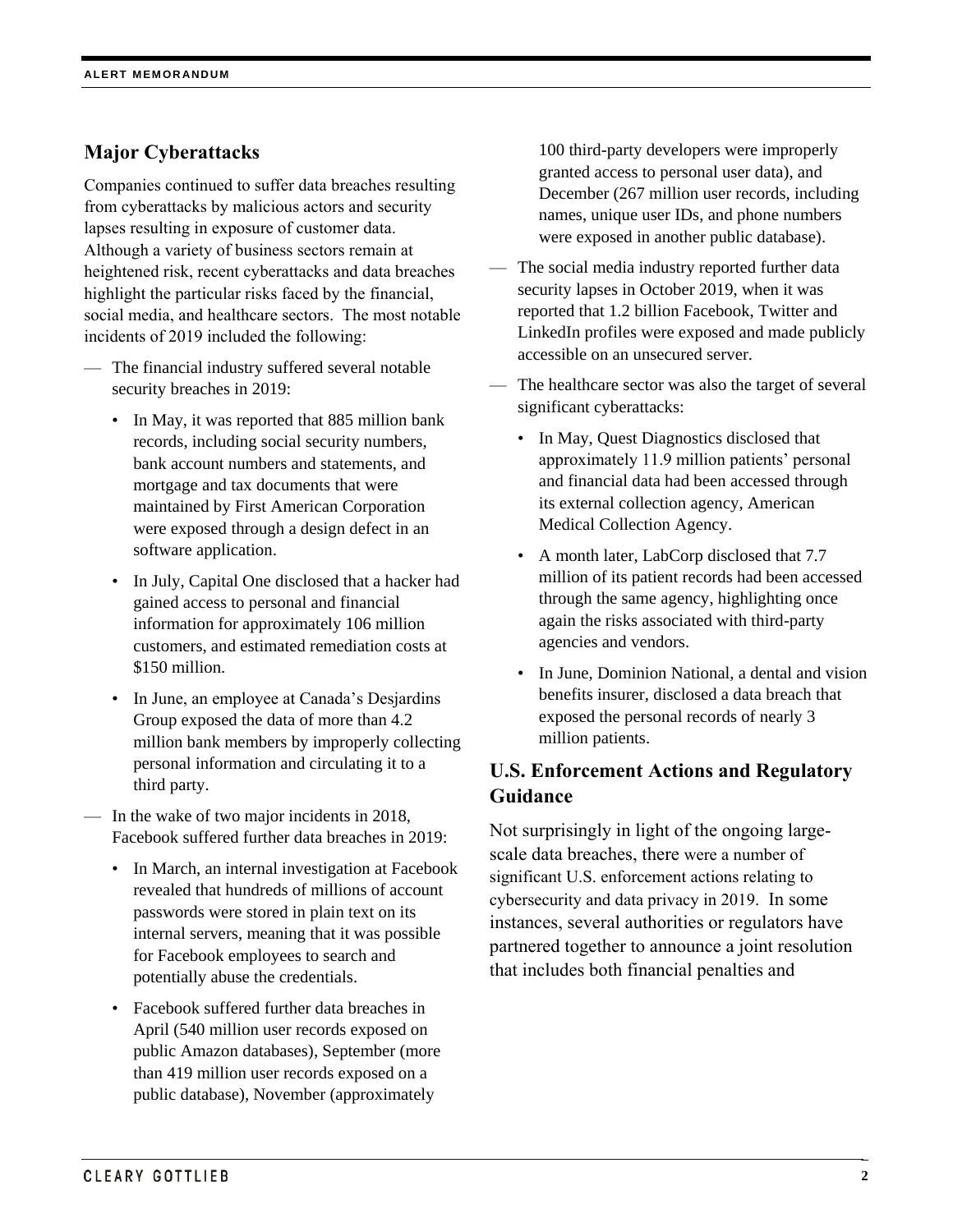## **Major Cyberattacks**

Companies continued to suffer data breaches resulting from cyberattacks by malicious actors and security lapses resulting in exposure of customer data. Although a variety of business sectors remain at heightened risk, recent cyberattacks and data breaches highlight the particular risks faced by the financial, social media, and healthcare sectors. The most notable incidents of 2019 included the following:

- The financial industry suffered several notable security breaches in 2019:
	- In May, it was reported that 885 million bank records, including social security numbers, bank account numbers and statements, and mortgage and tax documents that were maintained by First American Corporation were exposed through a design defect in an software application.
	- In July, Capital One disclosed that a hacker had gained access to personal and financial information for approximately 106 million customers, and estimated remediation costs at \$150 million.
	- In June, an employee at Canada's Desjardins Group exposed the data of more than 4.2 million bank members by improperly collecting personal information and circulating it to a third party.
- In the wake of two major incidents in 2018, Facebook suffered further data breaches in 2019:
	- In March, an internal investigation at Facebook revealed that hundreds of millions of account passwords were stored in plain text on its internal servers, meaning that it was possible for Facebook employees to search and potentially abuse the credentials.
	- Facebook suffered further data breaches in April (540 million user records exposed on public Amazon databases), September (more than 419 million user records exposed on a public database), November (approximately

100 third-party developers were improperly granted access to personal user data), and December (267 million user records, including names, unique user IDs, and phone numbers were exposed in another public database).

- The social media industry reported further data security lapses in October 2019, when it was reported that 1.2 billion Facebook, Twitter and LinkedIn profiles were exposed and made publicly accessible on an unsecured server.
- The healthcare sector was also the target of several significant cyberattacks:
	- In May, Quest Diagnostics disclosed that approximately 11.9 million patients' personal and financial data had been accessed through its external collection agency, American Medical Collection Agency.
	- A month later, LabCorp disclosed that 7.7 million of its patient records had been accessed through the same agency, highlighting once again the risks associated with third-party agencies and vendors.
	- In June, Dominion National, a dental and vision benefits insurer, disclosed a data breach that exposed the personal records of nearly 3 million patients.

## **U.S. Enforcement Actions and Regulatory Guidance**

Not surprisingly in light of the ongoing largescale data breaches, there were a number of significant U.S. enforcement actions relating to cybersecurity and data privacy in 2019. In some instances, several authorities or regulators have partnered together to announce a joint resolution that includes both financial penalties and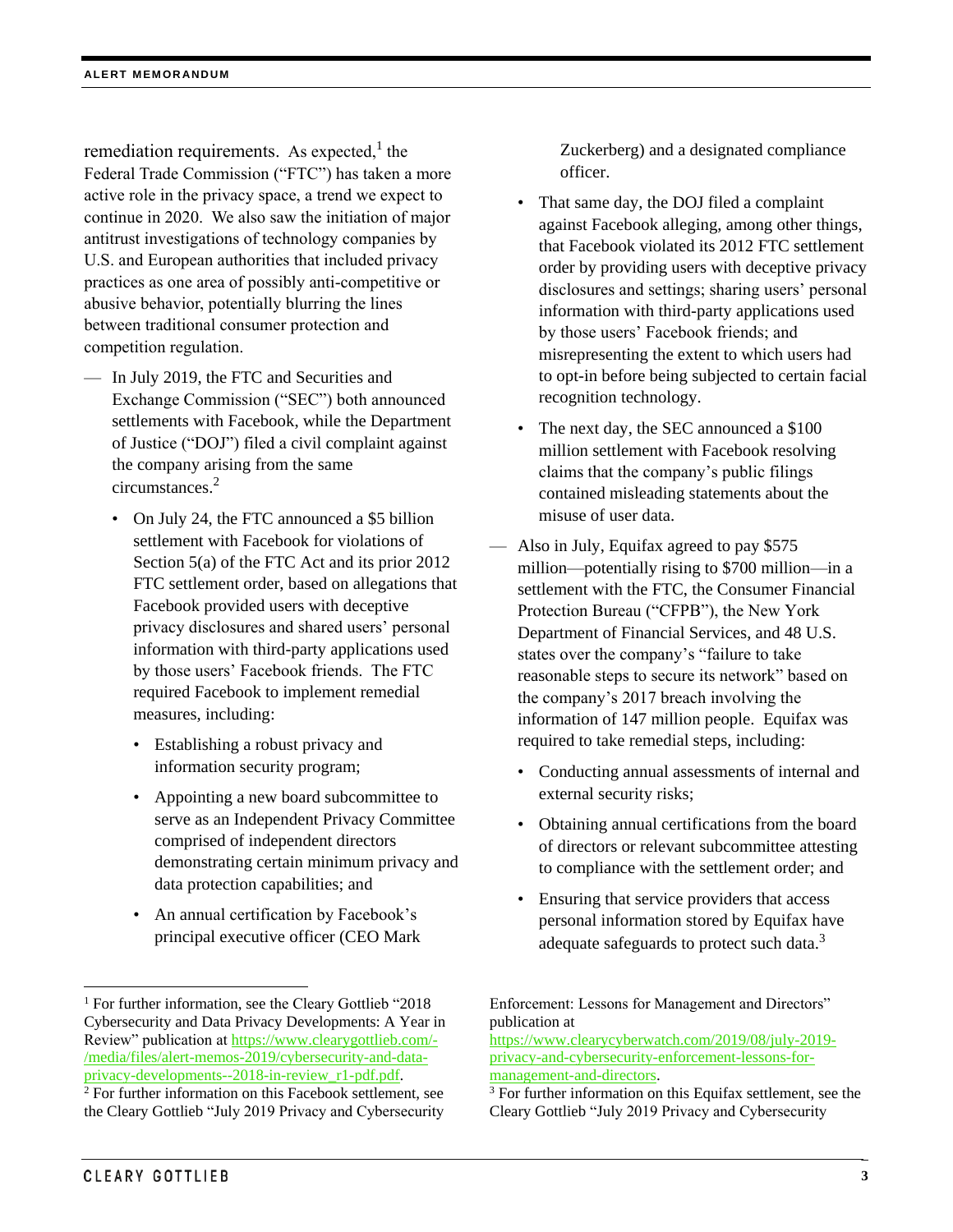remediation requirements. As expected,<sup>1</sup> the Federal Trade Commission ("FTC") has taken a more active role in the privacy space, a trend we expect to continue in 2020. We also saw the initiation of major antitrust investigations of technology companies by U.S. and European authorities that included privacy practices as one area of possibly anti-competitive or abusive behavior, potentially blurring the lines between traditional consumer protection and competition regulation.

- In July 2019, the FTC and Securities and Exchange Commission ("SEC") both announced settlements with Facebook, while the Department of Justice ("DOJ") filed a civil complaint against the company arising from the same circumstances.<sup>2</sup>
	- On July 24, the FTC announced a \$5 billion settlement with Facebook for violations of Section 5(a) of the FTC Act and its prior 2012 FTC settlement order, based on allegations that Facebook provided users with deceptive privacy disclosures and shared users' personal information with third-party applications used by those users' Facebook friends. The FTC required Facebook to implement remedial measures, including:
		- Establishing a robust privacy and information security program;
		- Appointing a new board subcommittee to serve as an Independent Privacy Committee comprised of independent directors demonstrating certain minimum privacy and data protection capabilities; and
		- An annual certification by Facebook's principal executive officer (CEO Mark

Zuckerberg) and a designated compliance officer.

- That same day, the DOJ filed a complaint against Facebook alleging, among other things, that Facebook violated its 2012 FTC settlement order by providing users with deceptive privacy disclosures and settings; sharing users' personal information with third-party applications used by those users' Facebook friends; and misrepresenting the extent to which users had to opt-in before being subjected to certain facial recognition technology.
- The next day, the SEC announced a \$100 million settlement with Facebook resolving claims that the company's public filings contained misleading statements about the misuse of user data.
- Also in July, Equifax agreed to pay \$575 million—potentially rising to \$700 million—in a settlement with the FTC, the Consumer Financial Protection Bureau ("CFPB"), the New York Department of Financial Services, and 48 U.S. states over the company's "failure to take reasonable steps to secure its network" based on the company's 2017 breach involving the information of 147 million people. Equifax was required to take remedial steps, including:
	- Conducting annual assessments of internal and external security risks;
	- Obtaining annual certifications from the board of directors or relevant subcommittee attesting to compliance with the settlement order; and
	- Ensuring that service providers that access personal information stored by Equifax have adequate safeguards to protect such data.<sup>3</sup>

<sup>&</sup>lt;sup>1</sup> For further information, see the Cleary Gottlieb "2018" Cybersecurity and Data Privacy Developments: A Year in Review" publication a[t https://www.clearygottlieb.com/-](https://www.clearygottlieb.com/-/media/files/alert-memos-2019/cybersecurity-and-data-privacy-developments--2018-in-review_r1-pdf.pdf) [/media/files/alert-memos-2019/cybersecurity-and-data](https://www.clearygottlieb.com/-/media/files/alert-memos-2019/cybersecurity-and-data-privacy-developments--2018-in-review_r1-pdf.pdf)[privacy-developments--2018-in-review\\_r1-pdf.pdf.](https://www.clearygottlieb.com/-/media/files/alert-memos-2019/cybersecurity-and-data-privacy-developments--2018-in-review_r1-pdf.pdf)

<sup>2</sup> For further information on this Facebook settlement, see the Cleary Gottlieb "July 2019 Privacy and Cybersecurity

Enforcement: Lessons for Management and Directors" publication at

[https://www.clearycyberwatch.com/2019/08/july-2019](https://www.clearycyberwatch.com/2019/08/july-2019-privacy-and-cybersecurity-enforcement-lessons-for-management-and-directors) [privacy-and-cybersecurity-enforcement-lessons-for](https://www.clearycyberwatch.com/2019/08/july-2019-privacy-and-cybersecurity-enforcement-lessons-for-management-and-directors)[management-and-directors.](https://www.clearycyberwatch.com/2019/08/july-2019-privacy-and-cybersecurity-enforcement-lessons-for-management-and-directors)

<sup>&</sup>lt;sup>3</sup> For further information on this Equifax settlement, see the Cleary Gottlieb "July 2019 Privacy and Cybersecurity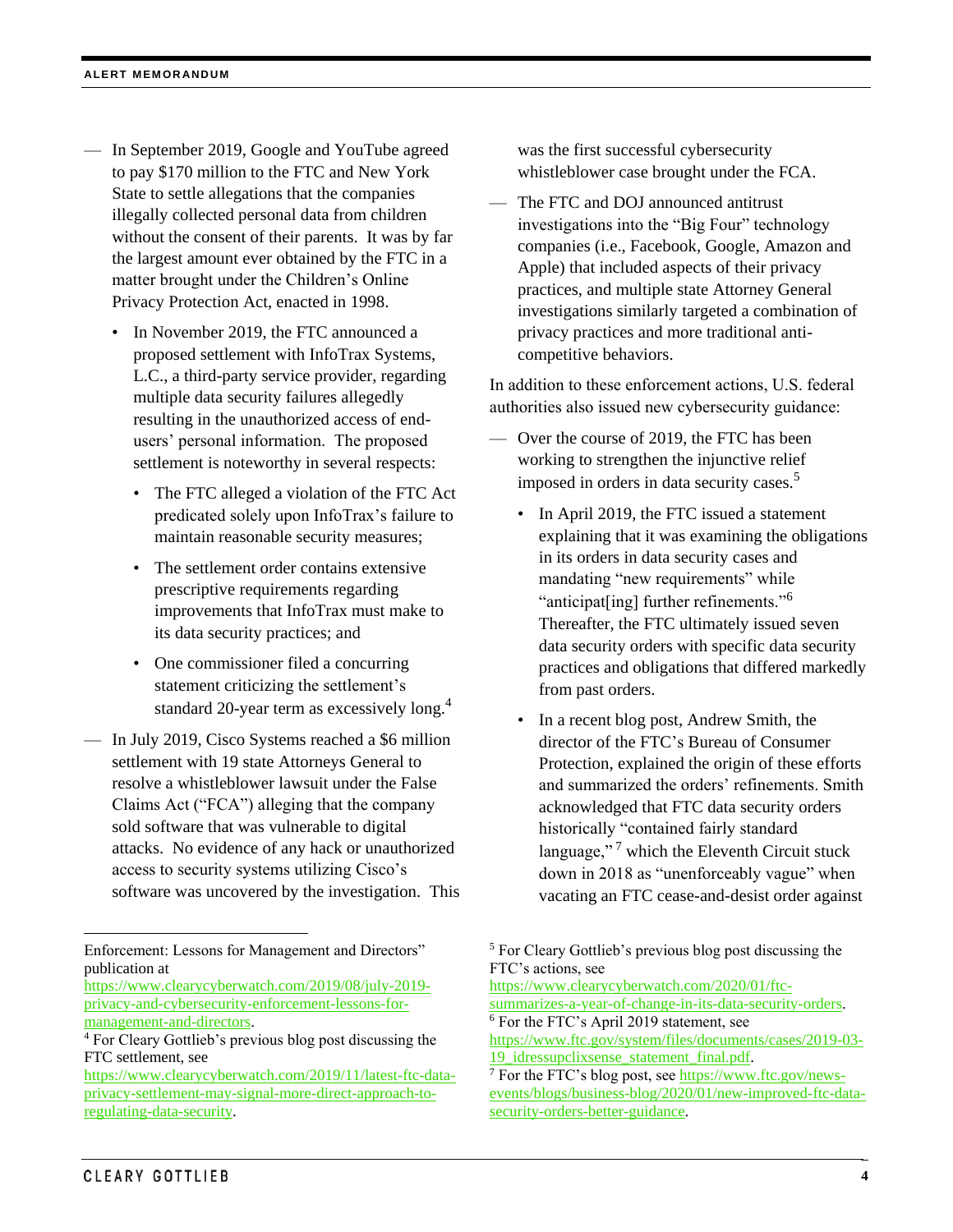- In September 2019, Google and YouTube agreed to pay \$170 million to the FTC and New York State to settle allegations that the companies illegally collected personal data from children without the consent of their parents. It was by far the largest amount ever obtained by the FTC in a matter brought under the Children's Online Privacy Protection Act, enacted in 1998.
	- In November 2019, the FTC announced a proposed settlement with InfoTrax Systems, L.C., a third-party service provider, regarding multiple data security failures allegedly resulting in the unauthorized access of endusers' personal information. The proposed settlement is noteworthy in several respects:
		- The FTC alleged a violation of the FTC Act predicated solely upon InfoTrax's failure to maintain reasonable security measures;
		- The settlement order contains extensive prescriptive requirements regarding improvements that InfoTrax must make to its data security practices; and
		- One commissioner filed a concurring statement criticizing the settlement's standard 20-year term as excessively long.<sup>4</sup>
- In July 2019, Cisco Systems reached a \$6 million settlement with 19 state Attorneys General to resolve a whistleblower lawsuit under the False Claims Act ("FCA") alleging that the company sold software that was vulnerable to digital attacks. No evidence of any hack or unauthorized access to security systems utilizing Cisco's software was uncovered by the investigation. This

Enforcement: Lessons for Management and Directors" publication at

[https://www.clearycyberwatch.com/2019/08/july-2019](https://www.clearycyberwatch.com/2019/08/july-2019-privacy-and-cybersecurity-enforcement-lessons-for-management-and-directors) [privacy-and-cybersecurity-enforcement-lessons-for](https://www.clearycyberwatch.com/2019/08/july-2019-privacy-and-cybersecurity-enforcement-lessons-for-management-and-directors)[management-and-directors.](https://www.clearycyberwatch.com/2019/08/july-2019-privacy-and-cybersecurity-enforcement-lessons-for-management-and-directors)

was the first successful cybersecurity whistleblower case brought under the FCA.

The FTC and DOJ announced antitrust investigations into the "Big Four" technology companies (i.e., Facebook, Google, Amazon and Apple) that included aspects of their privacy practices, and multiple state Attorney General investigations similarly targeted a combination of privacy practices and more traditional anticompetitive behaviors.

In addition to these enforcement actions, U.S. federal authorities also issued new cybersecurity guidance:

- Over the course of 2019, the FTC has been working to strengthen the injunctive relief imposed in orders in data security cases.<sup>5</sup>
	- In April 2019, the FTC issued a statement explaining that it was examining the obligations in its orders in data security cases and mandating "new requirements" while "anticipat[ing] further refinements."<sup>6</sup> Thereafter, the FTC ultimately issued seven data security orders with specific data security practices and obligations that differed markedly from past orders.
	- In a recent blog post, Andrew Smith, the director of the FTC's Bureau of Consumer Protection, explained the origin of these efforts and summarized the orders' refinements. Smith acknowledged that FTC data security orders historically "contained fairly standard language,"<sup>7</sup> which the Eleventh Circuit stuck down in 2018 as "unenforceably vague" when vacating an FTC cease-and-desist order against

<sup>5</sup> For Cleary Gottlieb's previous blog post discussing the FTC's actions, see

[https://www.clearycyberwatch.com/2020/01/ftc-](https://www.clearycyberwatch.com/2020/01/ftc-summarizes-a-year-of-change-in-its-data-security-orders)

[summarizes-a-year-of-change-in-its-data-security-orders.](https://www.clearycyberwatch.com/2020/01/ftc-summarizes-a-year-of-change-in-its-data-security-orders) <sup>6</sup> For the FTC's April 2019 statement, see

[https://www.ftc.gov/system/files/documents/cases/2019-03-](https://www.ftc.gov/system/files/documents/cases/2019-03-19_idressupclixsense_statement_final.pdf) 19 idressupclixsense statement final.pdf.

<sup>4</sup> For Cleary Gottlieb's previous blog post discussing the FTC settlement, see

[https://www.clearycyberwatch.com/2019/11/latest-ftc-data](https://www.clearycyberwatch.com/2019/11/latest-ftc-data-privacy-settlement-may-signal-more-direct-approach-to-regulating-data-security)[privacy-settlement-may-signal-more-direct-approach-to](https://www.clearycyberwatch.com/2019/11/latest-ftc-data-privacy-settlement-may-signal-more-direct-approach-to-regulating-data-security)[regulating-data-security.](https://www.clearycyberwatch.com/2019/11/latest-ftc-data-privacy-settlement-may-signal-more-direct-approach-to-regulating-data-security)

<sup>&</sup>lt;sup>7</sup> For the FTC's blog post, see [https://www.ftc.gov/news](https://www.ftc.gov/news-events/blogs/business-blog/2020/01/new-improved-ftc-data-security-orders-better-guidance)[events/blogs/business-blog/2020/01/new-improved-ftc-data](https://www.ftc.gov/news-events/blogs/business-blog/2020/01/new-improved-ftc-data-security-orders-better-guidance)[security-orders-better-guidance.](https://www.ftc.gov/news-events/blogs/business-blog/2020/01/new-improved-ftc-data-security-orders-better-guidance)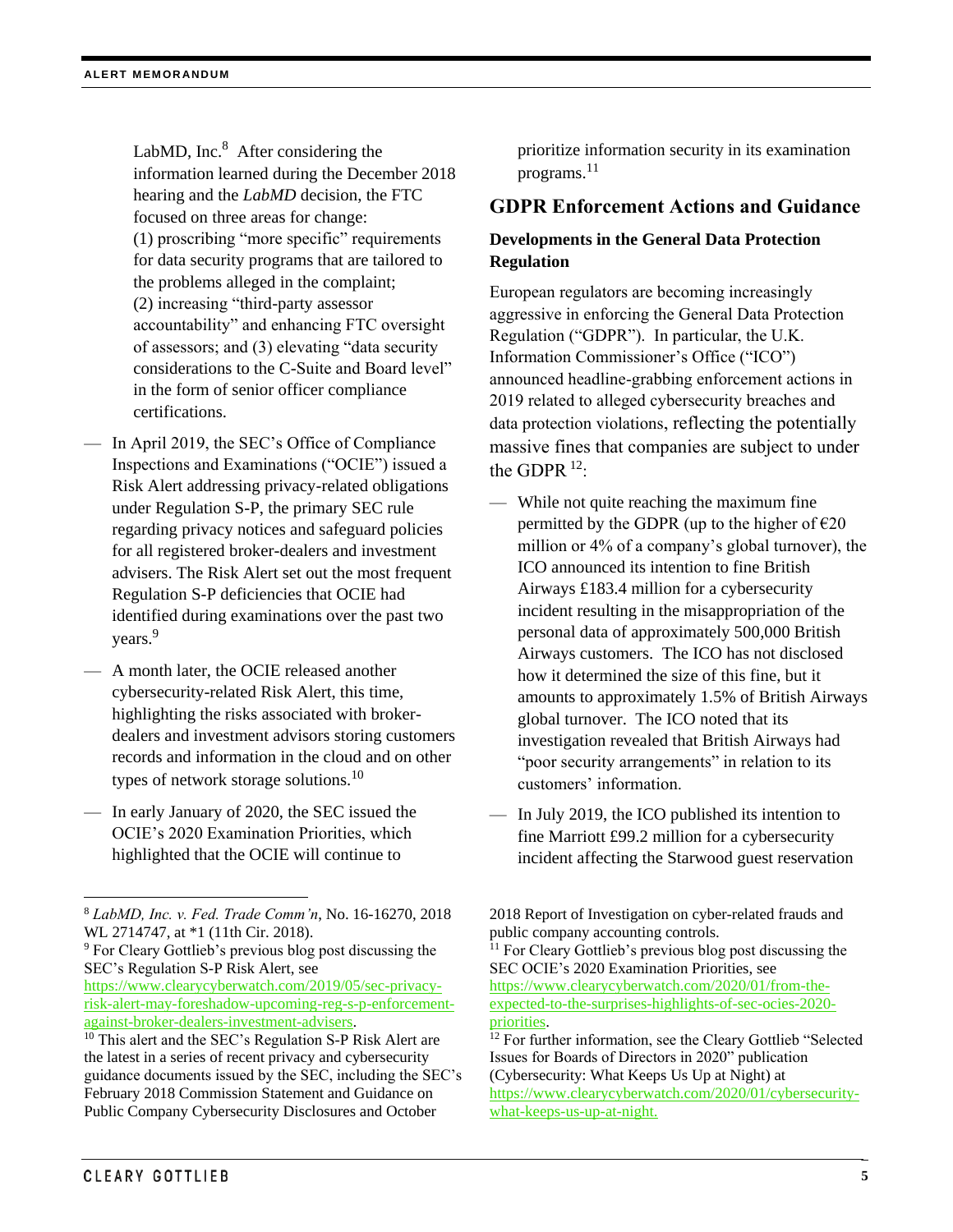LabMD, Inc.<sup>8</sup> After considering the information learned during the December 2018 hearing and the *LabMD* decision, the FTC focused on three areas for change: (1) proscribing "more specific" requirements for data security programs that are tailored to the problems alleged in the complaint; (2) increasing "third-party assessor accountability" and enhancing FTC oversight of assessors; and (3) elevating "data security considerations to the C-Suite and Board level" in the form of senior officer compliance certifications.

- In April 2019, the SEC's Office of Compliance Inspections and Examinations ("OCIE") issued a Risk Alert addressing privacy-related obligations under Regulation S-P, the primary SEC rule regarding privacy notices and safeguard policies for all registered broker-dealers and investment advisers. The Risk Alert set out the most frequent Regulation S-P deficiencies that OCIE had identified during examinations over the past two years.<sup>9</sup>
- A month later, the OCIE released another cybersecurity-related Risk Alert, this time, highlighting the risks associated with brokerdealers and investment advisors storing customers records and information in the cloud and on other types of network storage solutions.<sup>10</sup>
- In early January of 2020, the SEC issued the OCIE's 2020 Examination Priorities, which highlighted that the OCIE will continue to

[risk-alert-may-foreshadow-upcoming-reg-s-p-enforcement](https://www.clearycyberwatch.com/2019/05/sec-privacy-risk-alert-may-foreshadow-upcoming-reg-s-p-enforcement-against-broker-dealers-investment-advisers)[against-broker-dealers-investment-advisers.](https://www.clearycyberwatch.com/2019/05/sec-privacy-risk-alert-may-foreshadow-upcoming-reg-s-p-enforcement-against-broker-dealers-investment-advisers)

prioritize information security in its examination programs.<sup>11</sup>

## **GDPR Enforcement Actions and Guidance**

## **Developments in the General Data Protection Regulation**

European regulators are becoming increasingly aggressive in enforcing the General Data Protection Regulation ("GDPR"). In particular, the U.K. Information Commissioner's Office ("ICO") announced headline-grabbing enforcement actions in 2019 related to alleged cybersecurity breaches and data protection violations, reflecting the potentially massive fines that companies are subject to under the GDPR<sup>12.</sup>

- While not quite reaching the maximum fine permitted by the GDPR (up to the higher of  $\epsilon$ 20 million or 4% of a company's global turnover), the ICO announced its intention to fine British Airways £183.4 million for a cybersecurity incident resulting in the misappropriation of the personal data of approximately 500,000 British Airways customers. The ICO has not disclosed how it determined the size of this fine, but it amounts to approximately 1.5% of British Airways global turnover. The ICO noted that its investigation revealed that British Airways had "poor security arrangements" in relation to its customers' information.
- In July 2019, the ICO published its intention to fine Marriott £99.2 million for a cybersecurity incident affecting the Starwood guest reservation

2018 Report of Investigation on cyber-related frauds and public company accounting controls.

<sup>11</sup> For Cleary Gottlieb's previous blog post discussing the SEC OCIE's 2020 Examination Priorities, see [https://www.clearycyberwatch.com/2020/01/from-the](https://www.clearycyberwatch.com/2020/01/from-the-expected-to-the-surprises-highlights-of-sec-ocies-2020-priorities)[expected-to-the-surprises-highlights-of-sec-ocies-2020](https://www.clearycyberwatch.com/2020/01/from-the-expected-to-the-surprises-highlights-of-sec-ocies-2020-priorities) [priorities.](https://www.clearycyberwatch.com/2020/01/from-the-expected-to-the-surprises-highlights-of-sec-ocies-2020-priorities)

<sup>8</sup> *LabMD, Inc. v. Fed. Trade Comm'n*, No. 16-16270, 2018 WL 2714747, at \*1 (11th Cir. 2018).

<sup>9</sup> For Cleary Gottlieb's previous blog post discussing the SEC's Regulation S-P Risk Alert, see [https://www.clearycyberwatch.com/2019/05/sec-privacy-](https://www.clearycyberwatch.com/2019/05/sec-privacy-risk-alert-may-foreshadow-upcoming-reg-s-p-enforcement-against-broker-dealers-investment-advisers)

<sup>&</sup>lt;sup>10</sup> This alert and the SEC's Regulation S-P Risk Alert are the latest in a series of recent privacy and cybersecurity guidance documents issued by the SEC, including the SEC's February 2018 Commission Statement and Guidance on Public Company Cybersecurity Disclosures and October

<sup>&</sup>lt;sup>12</sup> For further information, see the Cleary Gottlieb "Selected Issues for Boards of Directors in 2020" publication (Cybersecurity: What Keeps Us Up at Night) at [https://www.clearycyberwatch.com/2020/01/cybersecurity](https://www.clearycyberwatch.com/2020/01/cybersecurity-what-keeps-us-up-at-night)[what-keeps-us-up-at-night.](https://www.clearycyberwatch.com/2020/01/cybersecurity-what-keeps-us-up-at-night)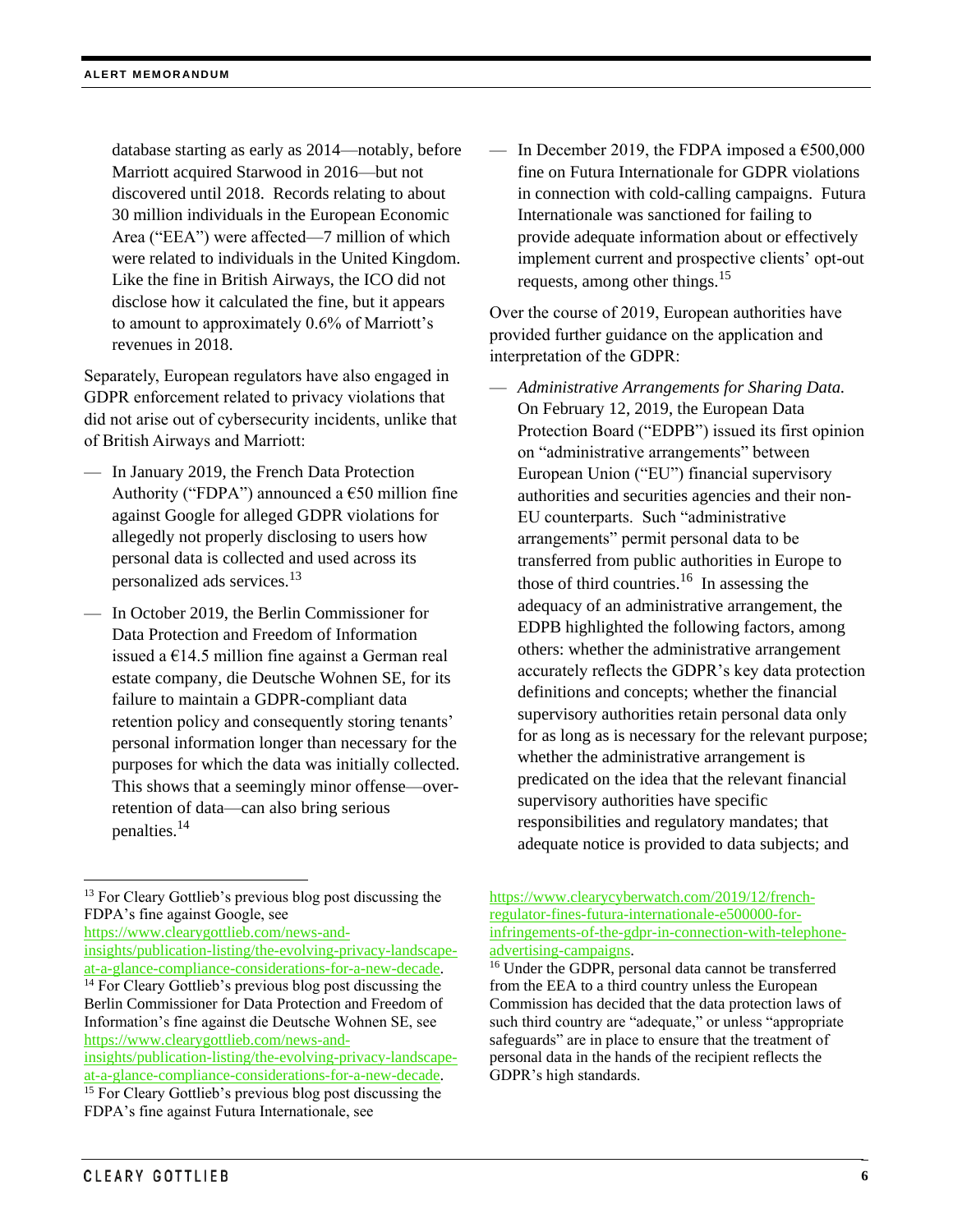database starting as early as 2014—notably, before Marriott acquired Starwood in 2016—but not discovered until 2018. Records relating to about 30 million individuals in the European Economic Area ("EEA") were affected—7 million of which were related to individuals in the United Kingdom. Like the fine in British Airways, the ICO did not disclose how it calculated the fine, but it appears to amount to approximately 0.6% of Marriott's revenues in 2018.

Separately, European regulators have also engaged in GDPR enforcement related to privacy violations that did not arise out of cybersecurity incidents, unlike that of British Airways and Marriott:

- In January 2019, the French Data Protection Authority ("FDPA") announced a  $€50$  million fine against Google for alleged GDPR violations for allegedly not properly disclosing to users how personal data is collected and used across its personalized ads services.<sup>13</sup>
- In October 2019, the Berlin Commissioner for Data Protection and Freedom of Information issued a  $€14.5$  million fine against a German real estate company, die Deutsche Wohnen SE, for its failure to maintain a GDPR-compliant data retention policy and consequently storing tenants' personal information longer than necessary for the purposes for which the data was initially collected. This shows that a seemingly minor offense—overretention of data—can also bring serious penalties.<sup>14</sup>

[https://www.clearygottlieb.com/news-and](https://www.clearygottlieb.com/news-and-insights/publication-listing/the-evolving-privacy-landscape-at-a-glance-compliance-considerations-for-a-new-decade)[insights/publication-listing/the-evolving-privacy-landscape](https://www.clearygottlieb.com/news-and-insights/publication-listing/the-evolving-privacy-landscape-at-a-glance-compliance-considerations-for-a-new-decade)[at-a-glance-compliance-considerations-for-a-new-decade.](https://www.clearygottlieb.com/news-and-insights/publication-listing/the-evolving-privacy-landscape-at-a-glance-compliance-considerations-for-a-new-decade)

<sup>14</sup> For Cleary Gottlieb's previous blog post discussing the Berlin Commissioner for Data Protection and Freedom of Information's fine against die Deutsche Wohnen SE, see [https://www.clearygottlieb.com/news-and-](https://www.clearygottlieb.com/news-and-insights/publication-listing/the-evolving-privacy-landscape-at-a-glance-compliance-considerations-for-a-new-decade)

[insights/publication-listing/the-evolving-privacy-landscape](https://www.clearygottlieb.com/news-and-insights/publication-listing/the-evolving-privacy-landscape-at-a-glance-compliance-considerations-for-a-new-decade)[at-a-glance-compliance-considerations-for-a-new-decade.](https://www.clearygottlieb.com/news-and-insights/publication-listing/the-evolving-privacy-landscape-at-a-glance-compliance-considerations-for-a-new-decade)

— In December 2019, the FDPA imposed a  $\epsilon$ 500,000 fine on Futura Internationale for GDPR violations in connection with cold-calling campaigns. Futura Internationale was sanctioned for failing to provide adequate information about or effectively implement current and prospective clients' opt-out requests, among other things.<sup>15</sup>

Over the course of 2019, European authorities have provided further guidance on the application and interpretation of the GDPR:

— *Administrative Arrangements for Sharing Data.*  On February 12, 2019, the European Data Protection Board ("EDPB") issued its first opinion on "administrative arrangements" between European Union ("EU") financial supervisory authorities and securities agencies and their non-EU counterparts. Such "administrative arrangements" permit personal data to be transferred from public authorities in Europe to those of third countries. $16$  In assessing the adequacy of an administrative arrangement, the EDPB highlighted the following factors, among others: whether the administrative arrangement accurately reflects the GDPR's key data protection definitions and concepts; whether the financial supervisory authorities retain personal data only for as long as is necessary for the relevant purpose; whether the administrative arrangement is predicated on the idea that the relevant financial supervisory authorities have specific responsibilities and regulatory mandates; that adequate notice is provided to data subjects; and

<sup>&</sup>lt;sup>13</sup> For Cleary Gottlieb's previous blog post discussing the FDPA's fine against Google, see

<sup>&</sup>lt;sup>15</sup> For Cleary Gottlieb's previous blog post discussing the FDPA's fine against Futura Internationale, see

[https://www.clearycyberwatch.com/2019/12/french](https://www.clearycyberwatch.com/2019/12/french-regulator-fines-futura-internationale-e500000-for-infringements-of-the-gdpr-in-connection-with-telephone-advertising-campaigns)[regulator-fines-futura-internationale-e500000-for](https://www.clearycyberwatch.com/2019/12/french-regulator-fines-futura-internationale-e500000-for-infringements-of-the-gdpr-in-connection-with-telephone-advertising-campaigns)[infringements-of-the-gdpr-in-connection-with-telephone](https://www.clearycyberwatch.com/2019/12/french-regulator-fines-futura-internationale-e500000-for-infringements-of-the-gdpr-in-connection-with-telephone-advertising-campaigns)[advertising-campaigns.](https://www.clearycyberwatch.com/2019/12/french-regulator-fines-futura-internationale-e500000-for-infringements-of-the-gdpr-in-connection-with-telephone-advertising-campaigns)

<sup>16</sup> Under the GDPR, personal data cannot be transferred from the EEA to a third country unless the European Commission has decided that the data protection laws of such third country are "adequate," or unless "appropriate safeguards" are in place to ensure that the treatment of personal data in the hands of the recipient reflects the GDPR's high standards.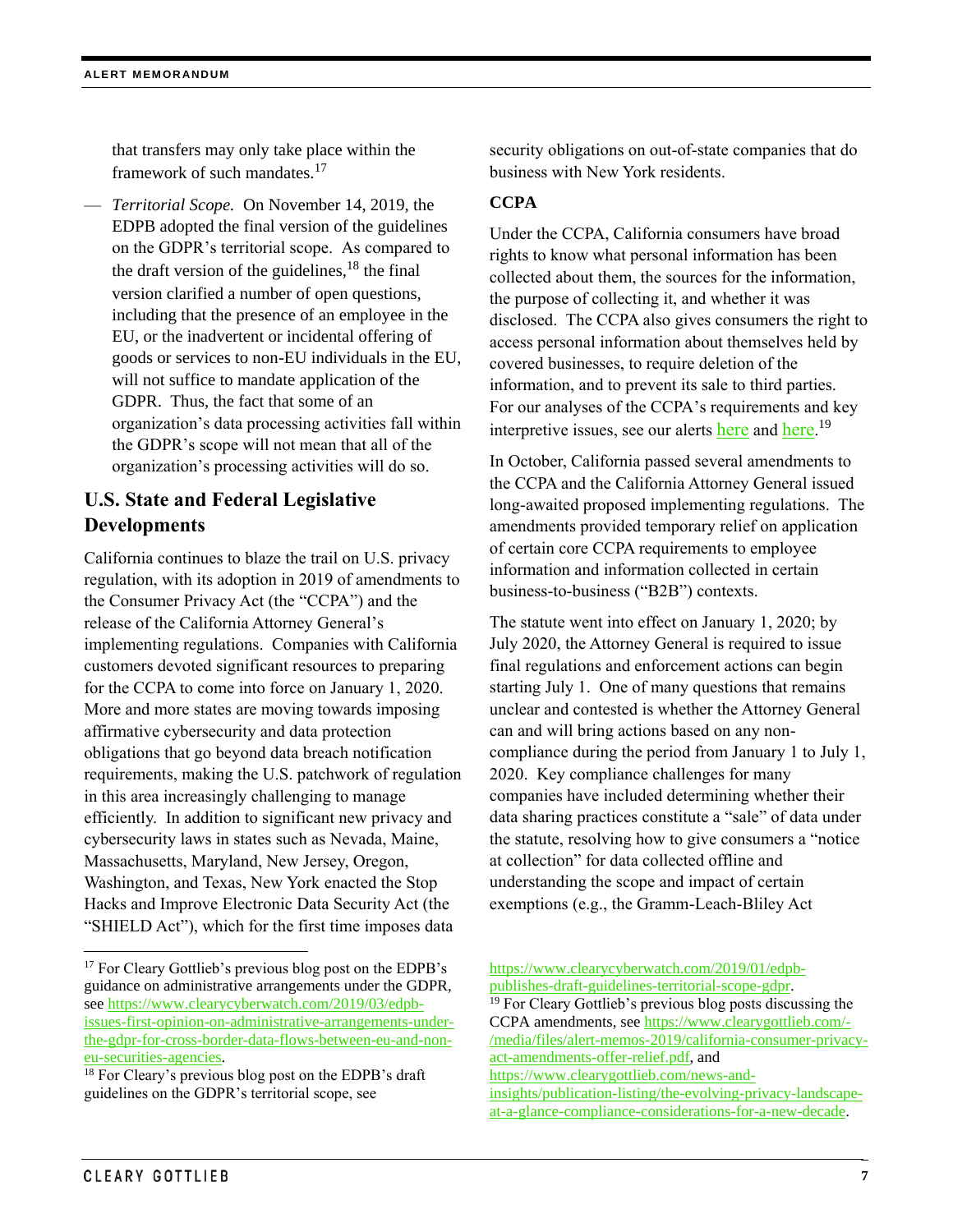that transfers may only take place within the framework of such mandates.<sup>17</sup>

— *Territorial Scope.* On November 14, 2019, the EDPB adopted the final version of the guidelines on the GDPR's territorial scope. As compared to the draft version of the guidelines,  $18$  the final version clarified a number of open questions, including that the presence of an employee in the EU, or the inadvertent or incidental offering of goods or services to non-EU individuals in the EU, will not suffice to mandate application of the GDPR. Thus, the fact that some of an organization's data processing activities fall within the GDPR's scope will not mean that all of the organization's processing activities will do so.

## **U.S. State and Federal Legislative Developments**

California continues to blaze the trail on U.S. privacy regulation, with its adoption in 2019 of amendments to the Consumer Privacy Act (the "CCPA") and the release of the California Attorney General's implementing regulations. Companies with California customers devoted significant resources to preparing for the CCPA to come into force on January 1, 2020. More and more states are moving towards imposing affirmative cybersecurity and data protection obligations that go beyond data breach notification requirements, making the U.S. patchwork of regulation in this area increasingly challenging to manage efficiently. In addition to significant new privacy and cybersecurity laws in states such as Nevada, Maine, Massachusetts, Maryland, New Jersey, Oregon, Washington, and Texas, New York enacted the Stop Hacks and Improve Electronic Data Security Act (the "SHIELD Act"), which for the first time imposes data

security obligations on out-of-state companies that do business with New York residents.

#### **CCPA**

Under the CCPA, California consumers have broad rights to know what personal information has been collected about them, the sources for the information, the purpose of collecting it, and whether it was disclosed. The CCPA also gives consumers the right to access personal information about themselves held by covered businesses, to require deletion of the information, and to prevent its sale to third parties. For our analyses of the CCPA's requirements and key interpretive issues, see our alerts [here](https://www.clearygottlieb.com/news-and-insights/publication-listing/the-evolving-privacy-landscape-at-a-glance-compliance-considerations-for-a-new-decade) and here.<sup>19</sup>

In October, California passed several amendments to the CCPA and the California Attorney General issued long-awaited proposed implementing regulations. The amendments provided temporary relief on application of certain core CCPA requirements to employee information and information collected in certain business-to-business ("B2B") contexts.

The statute went into effect on January 1, 2020; by July 2020, the Attorney General is required to issue final regulations and enforcement actions can begin starting July 1. One of many questions that remains unclear and contested is whether the Attorney General can and will bring actions based on any noncompliance during the period from January 1 to July 1, 2020. Key compliance challenges for many companies have included determining whether their data sharing practices constitute a "sale" of data under the statute, resolving how to give consumers a "notice at collection" for data collected offline and understanding the scope and impact of certain exemptions (e.g., the Gramm-Leach-Bliley Act

<sup>19</sup> For Cleary Gottlieb's previous blog posts discussing the CCPA amendments, see [https://www.clearygottlieb.com/-](https://www.clearygottlieb.com/-/media/files/alert-memos-2019/california-consumer-privacy-act-amendments-offer-relief.pdf) [/media/files/alert-memos-2019/california-consumer-privacy](https://www.clearygottlieb.com/-/media/files/alert-memos-2019/california-consumer-privacy-act-amendments-offer-relief.pdf)[act-amendments-offer-relief.pdf,](https://www.clearygottlieb.com/-/media/files/alert-memos-2019/california-consumer-privacy-act-amendments-offer-relief.pdf) and [https://www.clearygottlieb.com/news-and](https://www.clearygottlieb.com/news-and-insights/publication-listing/the-evolving-privacy-landscape-at-a-glance-compliance-considerations-for-a-new-decade)[insights/publication-listing/the-evolving-privacy-landscape](https://www.clearygottlieb.com/news-and-insights/publication-listing/the-evolving-privacy-landscape-at-a-glance-compliance-considerations-for-a-new-decade)[at-a-glance-compliance-considerations-for-a-new-decade.](https://www.clearygottlieb.com/news-and-insights/publication-listing/the-evolving-privacy-landscape-at-a-glance-compliance-considerations-for-a-new-decade)

<sup>&</sup>lt;sup>17</sup> For Cleary Gottlieb's previous blog post on the EDPB's guidance on administrative arrangements under the GDPR, see [https://www.clearycyberwatch.com/2019/03/edpb](https://www.clearycyberwatch.com/2019/03/edpb-issues-first-opinion-on-administrative-arrangements-under-the-gdpr-for-cross-border-data-flows-between-eu-and-non-eu-securities-agencies)[issues-first-opinion-on-administrative-arrangements-under](https://www.clearycyberwatch.com/2019/03/edpb-issues-first-opinion-on-administrative-arrangements-under-the-gdpr-for-cross-border-data-flows-between-eu-and-non-eu-securities-agencies)[the-gdpr-for-cross-border-data-flows-between-eu-and-non](https://www.clearycyberwatch.com/2019/03/edpb-issues-first-opinion-on-administrative-arrangements-under-the-gdpr-for-cross-border-data-flows-between-eu-and-non-eu-securities-agencies)[eu-securities-agencies.](https://www.clearycyberwatch.com/2019/03/edpb-issues-first-opinion-on-administrative-arrangements-under-the-gdpr-for-cross-border-data-flows-between-eu-and-non-eu-securities-agencies) 

<sup>&</sup>lt;sup>18</sup> For Cleary's previous blog post on the EDPB's draft guidelines on the GDPR's territorial scope, see

[https://www.clearycyberwatch.com/2019/01/edpb](https://www.clearycyberwatch.com/2019/01/edpb-publishes-draft-guidelines-territorial-scope-gdpr)[publishes-draft-guidelines-territorial-scope-gdpr.](https://www.clearycyberwatch.com/2019/01/edpb-publishes-draft-guidelines-territorial-scope-gdpr)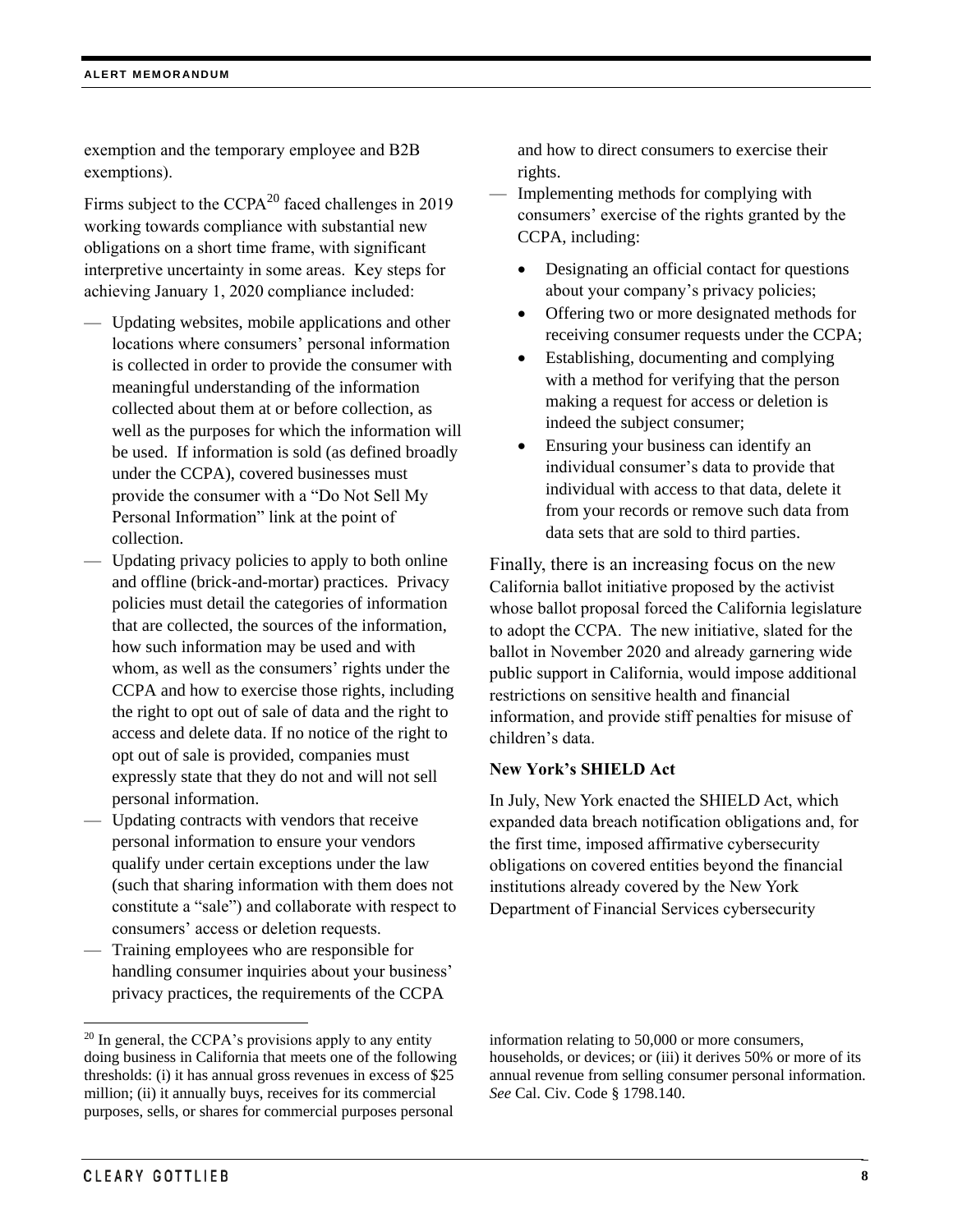exemption and the temporary employee and B2B exemptions).

Firms subject to the CCPA $^{20}$  faced challenges in 2019 working towards compliance with substantial new obligations on a short time frame, with significant interpretive uncertainty in some areas. Key steps for achieving January 1, 2020 compliance included:

- Updating websites, mobile applications and other locations where consumers' personal information is collected in order to provide the consumer with meaningful understanding of the information collected about them at or before collection, as well as the purposes for which the information will be used. If information is sold (as defined broadly under the CCPA), covered businesses must provide the consumer with a "Do Not Sell My Personal Information" link at the point of collection.
- Updating privacy policies to apply to both online and offline (brick-and-mortar) practices. Privacy policies must detail the categories of information that are collected, the sources of the information, how such information may be used and with whom, as well as the consumers' rights under the CCPA and how to exercise those rights, including the right to opt out of sale of data and the right to access and delete data. If no notice of the right to opt out of sale is provided, companies must expressly state that they do not and will not sell personal information.
- Updating contracts with vendors that receive personal information to ensure your vendors qualify under certain exceptions under the law (such that sharing information with them does not constitute a "sale") and collaborate with respect to consumers' access or deletion requests.
- Training employees who are responsible for handling consumer inquiries about your business' privacy practices, the requirements of the CCPA

and how to direct consumers to exercise their rights.

- Implementing methods for complying with consumers' exercise of the rights granted by the CCPA, including:
	- Designating an official contact for questions about your company's privacy policies;
	- Offering two or more designated methods for receiving consumer requests under the CCPA;
	- Establishing, documenting and complying with a method for verifying that the person making a request for access or deletion is indeed the subject consumer;
	- Ensuring your business can identify an individual consumer's data to provide that individual with access to that data, delete it from your records or remove such data from data sets that are sold to third parties.

Finally, there is an increasing focus on the new California ballot initiative proposed by the activist whose ballot proposal forced the California legislature to adopt the CCPA. The new initiative, slated for the ballot in November 2020 and already garnering wide public support in California, would impose additional restrictions on sensitive health and financial information, and provide stiff penalties for misuse of children's data.

#### **New York's SHIELD Act**

In July, New York enacted the SHIELD Act, which expanded data breach notification obligations and, for the first time, imposed affirmative cybersecurity obligations on covered entities beyond the financial institutions already covered by the New York Department of Financial Services cybersecurity

<sup>&</sup>lt;sup>20</sup> In general, the CCPA's provisions apply to any entity doing business in California that meets one of the following thresholds: (i) it has annual gross revenues in excess of \$25 million; (ii) it annually buys, receives for its commercial purposes, sells, or shares for commercial purposes personal

information relating to 50,000 or more consumers, households, or devices; or (iii) it derives 50% or more of its annual revenue from selling consumer personal information. *See* Cal. Civ. Code § 1798.140.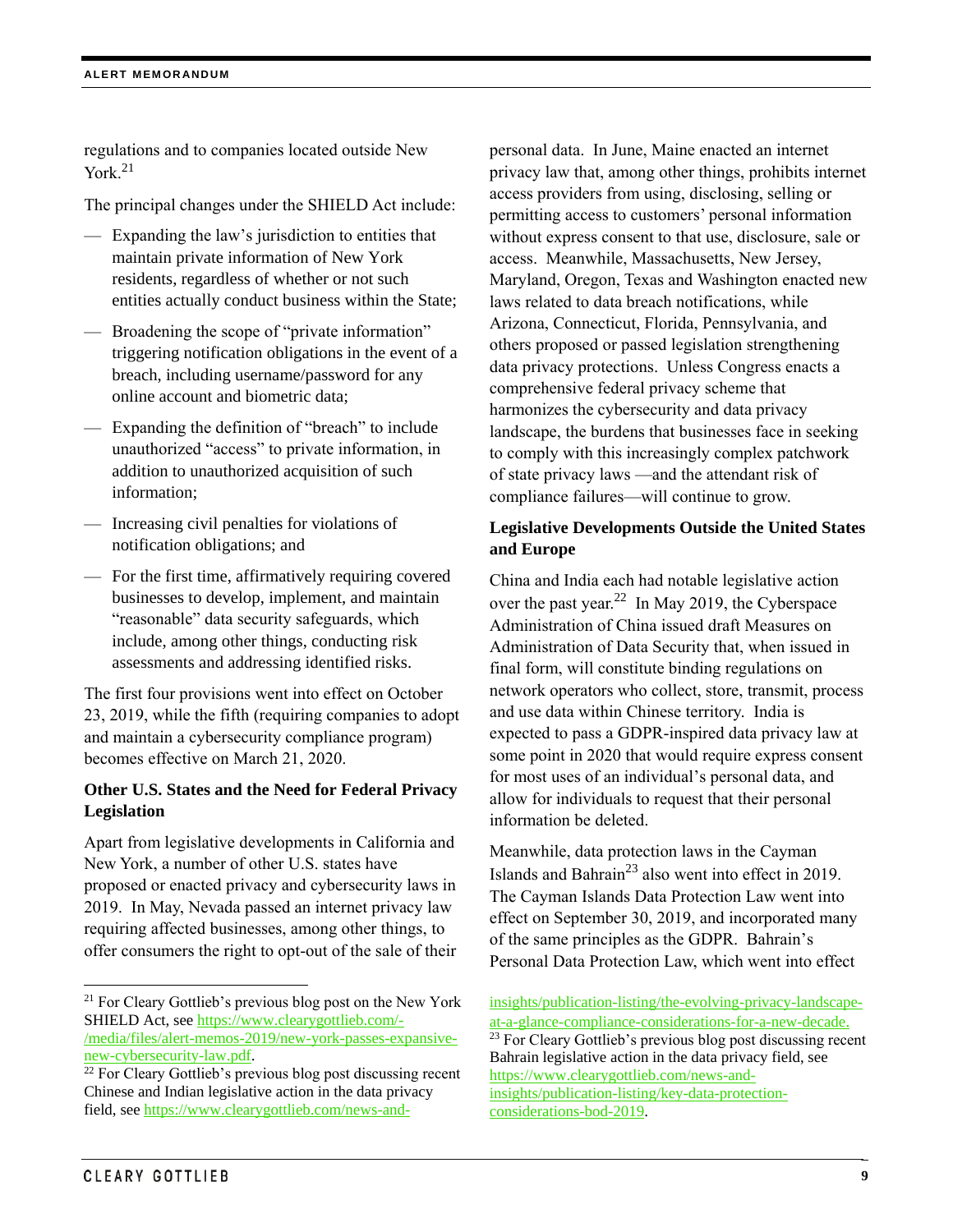regulations and to companies located outside New York.<sup>21</sup>

The principal changes under the SHIELD Act include:

- Expanding the law's jurisdiction to entities that maintain private information of New York residents, regardless of whether or not such entities actually conduct business within the State;
- Broadening the scope of "private information" triggering notification obligations in the event of a breach, including username/password for any online account and biometric data;
- Expanding the definition of "breach" to include unauthorized "access" to private information, in addition to unauthorized acquisition of such information;
- Increasing civil penalties for violations of notification obligations; and
- For the first time, affirmatively requiring covered businesses to develop, implement, and maintain "reasonable" data security safeguards, which include, among other things, conducting risk assessments and addressing identified risks.

The first four provisions went into effect on October 23, 2019, while the fifth (requiring companies to adopt and maintain a cybersecurity compliance program) becomes effective on March 21, 2020.

#### **Other U.S. States and the Need for Federal Privacy Legislation**

Apart from legislative developments in California and New York, a number of other U.S. states have proposed or enacted privacy and cybersecurity laws in 2019. In May, Nevada passed an internet privacy law requiring affected businesses, among other things, to offer consumers the right to opt-out of the sale of their personal data. In June, Maine enacted an internet privacy law that, among other things, prohibits internet access providers from using, disclosing, selling or permitting access to customers' personal information without express consent to that use, disclosure, sale or access. Meanwhile, Massachusetts, New Jersey, Maryland, Oregon, Texas and Washington enacted new laws related to data breach notifications, while Arizona, Connecticut, Florida, Pennsylvania, and others proposed or passed legislation strengthening data privacy protections. Unless Congress enacts a comprehensive federal privacy scheme that harmonizes the cybersecurity and data privacy landscape, the burdens that businesses face in seeking to comply with this increasingly complex patchwork of state privacy laws —and the attendant risk of compliance failures—will continue to grow.

#### **Legislative Developments Outside the United States and Europe**

China and India each had notable legislative action over the past year.<sup>22</sup> In May 2019, the Cyberspace Administration of China issued draft Measures on Administration of Data Security that, when issued in final form, will constitute binding regulations on network operators who collect, store, transmit, process and use data within Chinese territory. India is expected to pass a GDPR-inspired data privacy law at some point in 2020 that would require express consent for most uses of an individual's personal data, and allow for individuals to request that their personal information be deleted.

Meanwhile, data protection laws in the Cayman Islands and Bahrain<sup>23</sup> also went into effect in 2019. The Cayman Islands Data Protection Law went into effect on September 30, 2019, and incorporated many of the same principles as the GDPR. Bahrain's Personal Data Protection Law, which went into effect

<sup>&</sup>lt;sup>21</sup> For Cleary Gottlieb's previous blog post on the New York SHIELD Act, see [https://www.clearygottlieb.com/-](https://www.clearygottlieb.com/-/media/files/alert-memos-2019/new-york-passes-expansive-new-cybersecurity-law.pdf) [/media/files/alert-memos-2019/new-york-passes-expansive](https://www.clearygottlieb.com/-/media/files/alert-memos-2019/new-york-passes-expansive-new-cybersecurity-law.pdf)[new-cybersecurity-law.pdf.](https://www.clearygottlieb.com/-/media/files/alert-memos-2019/new-york-passes-expansive-new-cybersecurity-law.pdf)

<sup>&</sup>lt;sup>22</sup> For Cleary Gottlieb's previous blog post discussing recent Chinese and Indian legislative action in the data privacy field, se[e https://www.clearygottlieb.com/news-and-](https://www.clearygottlieb.com/news-and-insights/publication-listing/the-evolving-privacy-landscape-at-a-glance-compliance-considerations-for-a-new-decade)

[insights/publication-listing/the-evolving-privacy-landscape](https://www.clearygottlieb.com/news-and-insights/publication-listing/the-evolving-privacy-landscape-at-a-glance-compliance-considerations-for-a-new-decade)[at-a-glance-compliance-considerations-for-a-new-decade](https://www.clearygottlieb.com/news-and-insights/publication-listing/the-evolving-privacy-landscape-at-a-glance-compliance-considerations-for-a-new-decade). <sup>23</sup> For Cleary Gottlieb's previous blog post discussing recent Bahrain legislative action in the data privacy field, see [https://www.clearygottlieb.com/news-and](https://www.clearygottlieb.com/news-and-insights/publication-listing/key-data-protection-considerations-bod-2019)[insights/publication-listing/key-data-protection](https://www.clearygottlieb.com/news-and-insights/publication-listing/key-data-protection-considerations-bod-2019)[considerations-bod-2019.](https://www.clearygottlieb.com/news-and-insights/publication-listing/key-data-protection-considerations-bod-2019)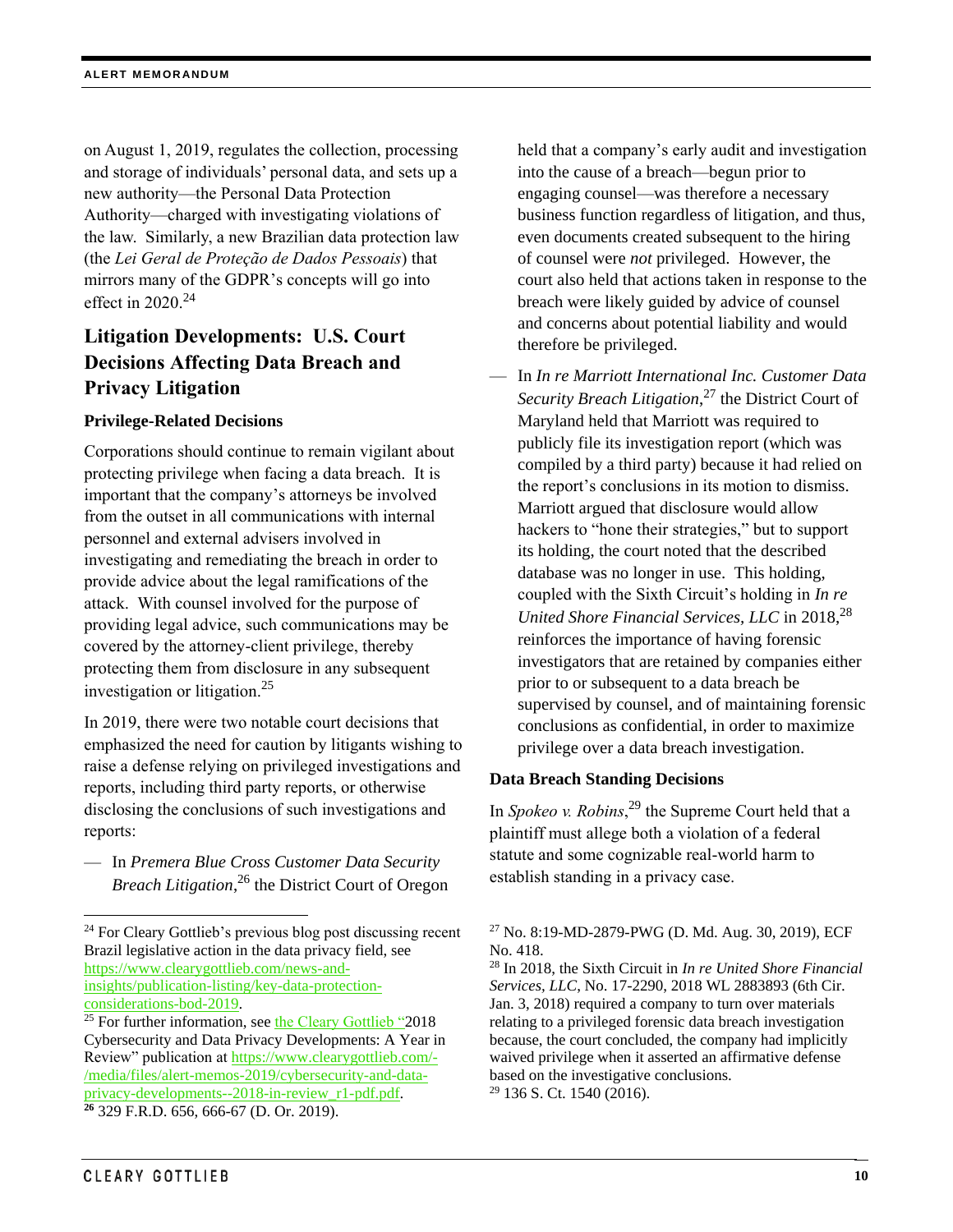on August 1, 2019, regulates the collection, processing and storage of individuals' personal data, and sets up a new authority—the Personal Data Protection Authority—charged with investigating violations of the law. Similarly, a new Brazilian data protection law (the *Lei Geral de Proteção de Dados Pessoais*) that mirrors many of the GDPR's concepts will go into effect in 2020. $24$ 

# **Litigation Developments: U.S. Court Decisions Affecting Data Breach and Privacy Litigation**

#### **Privilege-Related Decisions**

Corporations should continue to remain vigilant about protecting privilege when facing a data breach. It is important that the company's attorneys be involved from the outset in all communications with internal personnel and external advisers involved in investigating and remediating the breach in order to provide advice about the legal ramifications of the attack. With counsel involved for the purpose of providing legal advice, such communications may be covered by the attorney-client privilege, thereby protecting them from disclosure in any subsequent investigation or litigation.<sup>25</sup>

In 2019, there were two notable court decisions that emphasized the need for caution by litigants wishing to raise a defense relying on privileged investigations and reports, including third party reports, or otherwise disclosing the conclusions of such investigations and reports:

— In *Premera Blue Cross Customer Data Security Breach Litigation*, <sup>26</sup> the District Court of Oregon held that a company's early audit and investigation into the cause of a breach—begun prior to engaging counsel—was therefore a necessary business function regardless of litigation, and thus, even documents created subsequent to the hiring of counsel were *not* privileged. However, the court also held that actions taken in response to the breach were likely guided by advice of counsel and concerns about potential liability and would therefore be privileged.

— In *In re Marriott International Inc. Customer Data Security Breach Litigation*, <sup>27</sup> the District Court of Maryland held that Marriott was required to publicly file its investigation report (which was compiled by a third party) because it had relied on the report's conclusions in its motion to dismiss. Marriott argued that disclosure would allow hackers to "hone their strategies," but to support its holding, the court noted that the described database was no longer in use. This holding, coupled with the Sixth Circuit's holding in *In re United Shore Financial Services, LLC* in 2018,<sup>28</sup> reinforces the importance of having forensic investigators that are retained by companies either prior to or subsequent to a data breach be supervised by counsel, and of maintaining forensic conclusions as confidential, in order to maximize privilege over a data breach investigation.

#### **Data Breach Standing Decisions**

In *Spokeo v. Robins*, <sup>29</sup> the Supreme Court held that a plaintiff must allege both a violation of a federal statute and some cognizable real-world harm to establish standing in a privacy case.

<sup>&</sup>lt;sup>24</sup> For Cleary Gottlieb's previous blog post discussing recent Brazil legislative action in the data privacy field, see [https://www.clearygottlieb.com/news-and](https://www.clearygottlieb.com/news-and-insights/publication-listing/key-data-protection-considerations-bod-2019)[insights/publication-listing/key-data-protection](https://www.clearygottlieb.com/news-and-insights/publication-listing/key-data-protection-considerations-bod-2019)[considerations-bod-2019.](https://www.clearygottlieb.com/news-and-insights/publication-listing/key-data-protection-considerations-bod-2019) 

 $25$  For further information, see the Cleary Gottlieb "2018" Cybersecurity and Data Privacy Developments: A Year in Review" publication a[t https://www.clearygottlieb.com/-](https://www.clearygottlieb.com/-/media/files/alert-memos-2019/cybersecurity-and-data-privacy-developments--2018-in-review_r1-pdf.pdf) [/media/files/alert-memos-2019/cybersecurity-and-data](https://www.clearygottlieb.com/-/media/files/alert-memos-2019/cybersecurity-and-data-privacy-developments--2018-in-review_r1-pdf.pdf)[privacy-developments--2018-in-review\\_r1-pdf.pdf.](https://www.clearygottlieb.com/-/media/files/alert-memos-2019/cybersecurity-and-data-privacy-developments--2018-in-review_r1-pdf.pdf)

**<sup>26</sup>** 329 F.R.D. 656, 666-67 (D. Or. 2019).

<sup>27</sup> No. 8:19-MD-2879-PWG (D. Md. Aug. 30, 2019), ECF No. 418.

<sup>28</sup> In 2018, the Sixth Circuit in *In re United Shore Financial Services, LLC*, No. 17-2290, 2018 WL 2883893 (6th Cir. Jan. 3, 2018) required a company to turn over materials relating to a privileged forensic data breach investigation because, the court concluded, the company had implicitly waived privilege when it asserted an affirmative defense based on the investigative conclusions. <sup>29</sup> 136 S. Ct. 1540 (2016).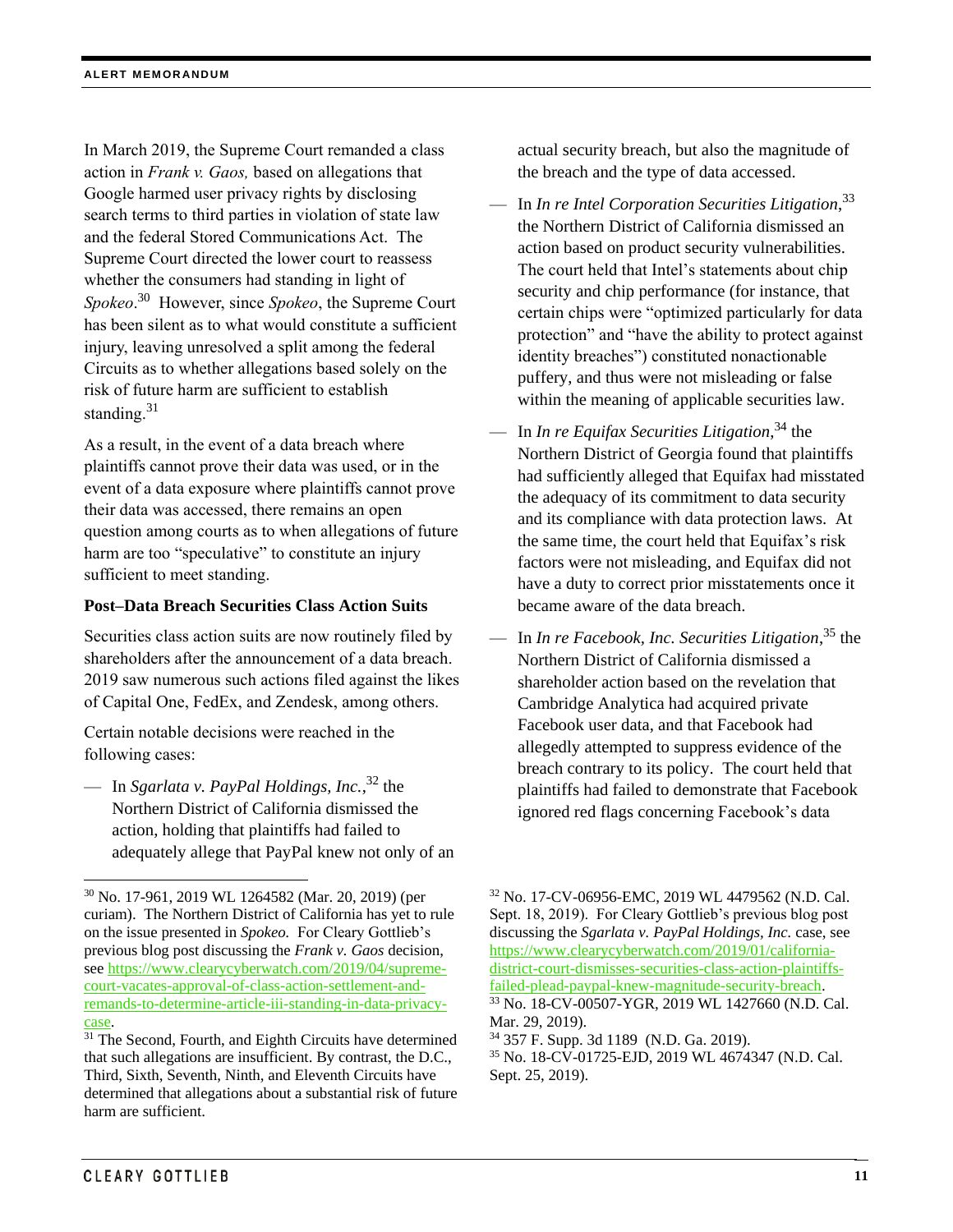In March 2019, the Supreme Court remanded a class action in *Frank v. Gaos,* based on allegations that Google harmed user privacy rights by disclosing search terms to third parties in violation of state law and the federal Stored Communications Act. The Supreme Court directed the lower court to reassess whether the consumers had standing in light of *Spokeo*. 30 However, since *Spokeo*, the Supreme Court has been silent as to what would constitute a sufficient injury, leaving unresolved a split among the federal Circuits as to whether allegations based solely on the risk of future harm are sufficient to establish standing.<sup>31</sup>

As a result, in the event of a data breach where plaintiffs cannot prove their data was used, or in the event of a data exposure where plaintiffs cannot prove their data was accessed, there remains an open question among courts as to when allegations of future harm are too "speculative" to constitute an injury sufficient to meet standing.

#### **Post–Data Breach Securities Class Action Suits**

Securities class action suits are now routinely filed by shareholders after the announcement of a data breach. 2019 saw numerous such actions filed against the likes of Capital One, FedEx, and Zendesk, among others.

Certain notable decisions were reached in the following cases:

— In *Sgarlata v. PayPal Holdings, Inc.*, <sup>32</sup> the Northern District of California dismissed the action, holding that plaintiffs had failed to adequately allege that PayPal knew not only of an actual security breach, but also the magnitude of the breach and the type of data accessed.

- In *In re Intel Corporation Securities Litigation*, 33 the Northern District of California dismissed an action based on product security vulnerabilities. The court held that Intel's statements about chip security and chip performance (for instance, that certain chips were "optimized particularly for data protection" and "have the ability to protect against identity breaches") constituted nonactionable puffery, and thus were not misleading or false within the meaning of applicable securities law.
- In *In re Equifax Securities Litigation*, <sup>34</sup> the Northern District of Georgia found that plaintiffs had sufficiently alleged that Equifax had misstated the adequacy of its commitment to data security and its compliance with data protection laws. At the same time, the court held that Equifax's risk factors were not misleading, and Equifax did not have a duty to correct prior misstatements once it became aware of the data breach.
- In *In re Facebook, Inc. Securities Litigation*, <sup>35</sup> the Northern District of California dismissed a shareholder action based on the revelation that Cambridge Analytica had acquired private Facebook user data, and that Facebook had allegedly attempted to suppress evidence of the breach contrary to its policy. The court held that plaintiffs had failed to demonstrate that Facebook ignored red flags concerning Facebook's data

<sup>30</sup> No. 17-961, 2019 WL 1264582 (Mar. 20, 2019) (per curiam). The Northern District of California has yet to rule on the issue presented in *Spokeo.* For Cleary Gottlieb's previous blog post discussing the *Frank v. Gaos* decision, see [https://www.clearycyberwatch.com/2019/04/supreme](https://www.clearycyberwatch.com/2019/04/supreme-court-vacates-approval-of-class-action-settlement-and-remands-to-determine-article-iii-standing-in-data-privacy-case)[court-vacates-approval-of-class-action-settlement-and](https://www.clearycyberwatch.com/2019/04/supreme-court-vacates-approval-of-class-action-settlement-and-remands-to-determine-article-iii-standing-in-data-privacy-case)[remands-to-determine-article-iii-standing-in-data-privacy](https://www.clearycyberwatch.com/2019/04/supreme-court-vacates-approval-of-class-action-settlement-and-remands-to-determine-article-iii-standing-in-data-privacy-case)[case.](https://www.clearycyberwatch.com/2019/04/supreme-court-vacates-approval-of-class-action-settlement-and-remands-to-determine-article-iii-standing-in-data-privacy-case)

<sup>&</sup>lt;sup>31</sup> The Second, Fourth, and Eighth Circuits have determined that such allegations are insufficient. By contrast, the D.C., Third, Sixth, Seventh, Ninth, and Eleventh Circuits have determined that allegations about a substantial risk of future harm are sufficient.

<sup>32</sup> No. 17-CV-06956-EMC, 2019 WL 4479562 (N.D. Cal. Sept. 18, 2019). For Cleary Gottlieb's previous blog post discussing the *Sgarlata v. PayPal Holdings, Inc.* case, see [https://www.clearycyberwatch.com/2019/01/california](https://www.clearycyberwatch.com/2019/01/california-district-court-dismisses-securities-class-action-plaintiffs-failed-plead-paypal-knew-magnitude-security-breach)[district-court-dismisses-securities-class-action-plaintiffs](https://www.clearycyberwatch.com/2019/01/california-district-court-dismisses-securities-class-action-plaintiffs-failed-plead-paypal-knew-magnitude-security-breach)[failed-plead-paypal-knew-magnitude-security-breach.](https://www.clearycyberwatch.com/2019/01/california-district-court-dismisses-securities-class-action-plaintiffs-failed-plead-paypal-knew-magnitude-security-breach) <sup>33</sup> No. 18-CV-00507-YGR, 2019 WL 1427660 (N.D. Cal.

Mar. 29, 2019). <sup>34</sup> 357 F. Supp. 3d 1189 (N.D. Ga. 2019).

<sup>35</sup> No. 18-CV-01725-EJD, 2019 WL 4674347 (N.D. Cal. Sept. 25, 2019).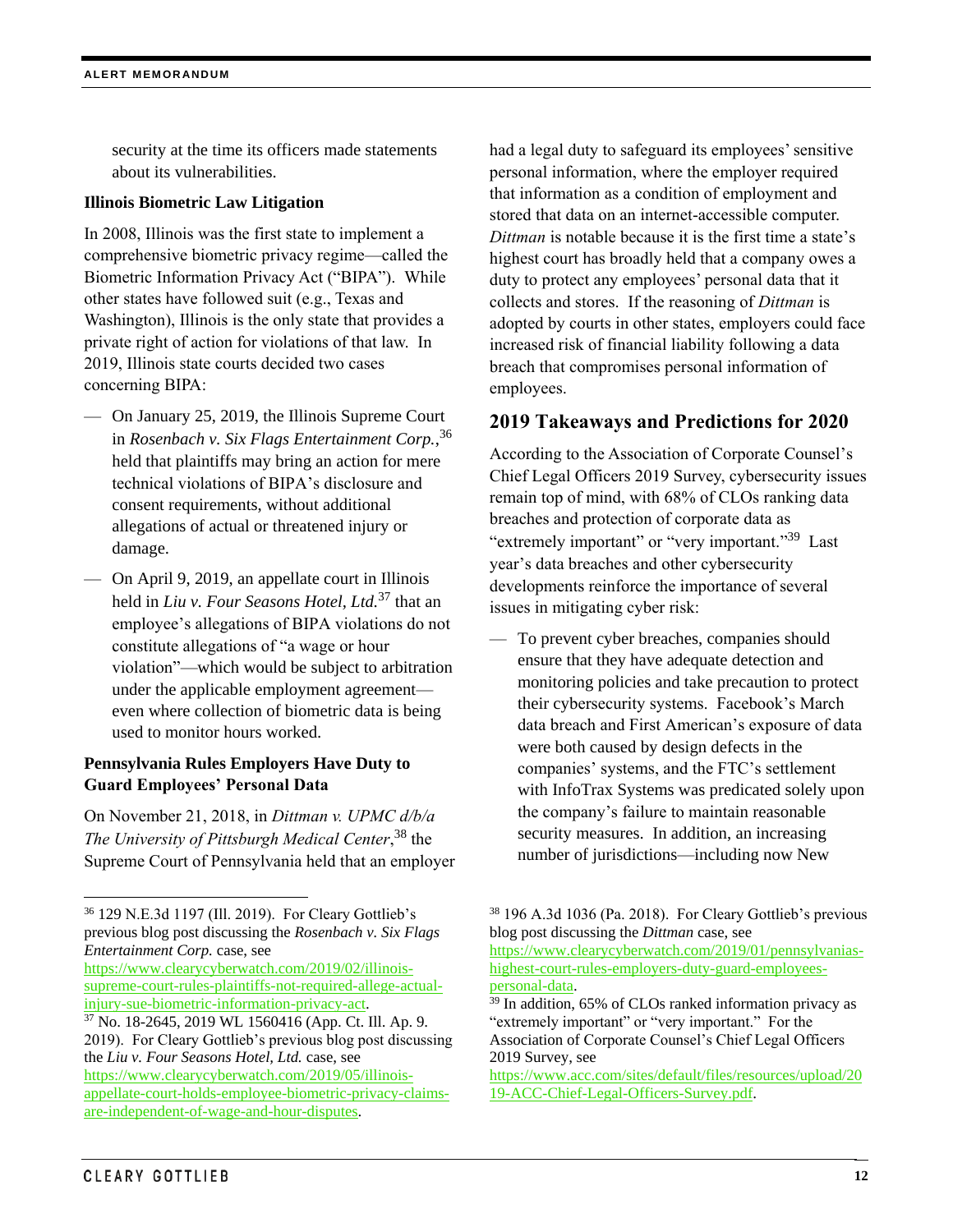security at the time its officers made statements about its vulnerabilities.

#### **Illinois Biometric Law Litigation**

In 2008, Illinois was the first state to implement a comprehensive biometric privacy regime—called the Biometric Information Privacy Act ("BIPA"). While other states have followed suit (e.g., Texas and Washington), Illinois is the only state that provides a private right of action for violations of that law. In 2019, Illinois state courts decided two cases concerning BIPA:

- On January 25, 2019, the Illinois Supreme Court in *Rosenbach v. Six Flags Entertainment Corp.*, 36 held that plaintiffs may bring an action for mere technical violations of BIPA's disclosure and consent requirements, without additional allegations of actual or threatened injury or damage.
- On April 9, 2019, an appellate court in Illinois held in *Liu v. Four Seasons Hotel, Ltd.*<sup>37</sup> that an employee's allegations of BIPA violations do not constitute allegations of "a wage or hour violation"—which would be subject to arbitration under the applicable employment agreement even where collection of biometric data is being used to monitor hours worked.

#### **Pennsylvania Rules Employers Have Duty to Guard Employees' Personal Data**

On November 21, 2018, in *Dittman v. UPMC d/b/a The University of Pittsburgh Medical Center*, <sup>38</sup> the Supreme Court of Pennsylvania held that an employer

[https://www.clearycyberwatch.com/2019/02/illinois](https://www.clearycyberwatch.com/2019/02/illinois-supreme-court-rules-plaintiffs-not-required-allege-actual-injury-sue-biometric-information-privacy-act)[supreme-court-rules-plaintiffs-not-required-allege-actual](https://www.clearycyberwatch.com/2019/02/illinois-supreme-court-rules-plaintiffs-not-required-allege-actual-injury-sue-biometric-information-privacy-act)[injury-sue-biometric-information-privacy-act.](https://www.clearycyberwatch.com/2019/02/illinois-supreme-court-rules-plaintiffs-not-required-allege-actual-injury-sue-biometric-information-privacy-act)

had a legal duty to safeguard its employees' sensitive personal information, where the employer required that information as a condition of employment and stored that data on an internet-accessible computer. *Dittman* is notable because it is the first time a state's highest court has broadly held that a company owes a duty to protect any employees' personal data that it collects and stores. If the reasoning of *Dittman* is adopted by courts in other states, employers could face increased risk of financial liability following a data breach that compromises personal information of employees.

## **2019 Takeaways and Predictions for 2020**

According to the Association of Corporate Counsel's Chief Legal Officers 2019 Survey, cybersecurity issues remain top of mind, with 68% of CLOs ranking data breaches and protection of corporate data as "extremely important" or "very important."<sup>39</sup> Last year's data breaches and other cybersecurity developments reinforce the importance of several issues in mitigating cyber risk:

— To prevent cyber breaches, companies should ensure that they have adequate detection and monitoring policies and take precaution to protect their cybersecurity systems. Facebook's March data breach and First American's exposure of data were both caused by design defects in the companies' systems, and the FTC's settlement with InfoTrax Systems was predicated solely upon the company's failure to maintain reasonable security measures. In addition, an increasing number of jurisdictions—including now New

<sup>36</sup> 129 N.E.3d 1197 (Ill. 2019). For Cleary Gottlieb's previous blog post discussing the *Rosenbach v. Six Flags Entertainment Corp.* case, see

 $37$  No. 18-2645, 2019 WL 1560416 (App. Ct. Ill. Ap. 9. 2019). For Cleary Gottlieb's previous blog post discussing the *Liu v. Four Seasons Hotel, Ltd.* case, see [https://www.clearycyberwatch.com/2019/05/illinois](https://www.clearycyberwatch.com/2019/05/illinois-appellate-court-holds-employee-biometric-privacy-claims-are-independent-of-wage-and-hour-disputes)[appellate-court-holds-employee-biometric-privacy-claims](https://www.clearycyberwatch.com/2019/05/illinois-appellate-court-holds-employee-biometric-privacy-claims-are-independent-of-wage-and-hour-disputes)[are-independent-of-wage-and-hour-disputes.](https://www.clearycyberwatch.com/2019/05/illinois-appellate-court-holds-employee-biometric-privacy-claims-are-independent-of-wage-and-hour-disputes)

<sup>38</sup> 196 A.3d 1036 (Pa. 2018). For Cleary Gottlieb's previous blog post discussing the *Dittman* case, see [https://www.clearycyberwatch.com/2019/01/pennsylvanias](https://www.clearycyberwatch.com/2019/01/pennsylvanias-highest-court-rules-employers-duty-guard-employees-personal-data)[highest-court-rules-employers-duty-guard-employees](https://www.clearycyberwatch.com/2019/01/pennsylvanias-highest-court-rules-employers-duty-guard-employees-personal-data)[personal-data.](https://www.clearycyberwatch.com/2019/01/pennsylvanias-highest-court-rules-employers-duty-guard-employees-personal-data)

 $39$  In addition, 65% of CLOs ranked information privacy as "extremely important" or "very important." For the Association of Corporate Counsel's Chief Legal Officers 2019 Survey, see

[https://www.acc.com/sites/default/files/resources/upload/20](https://www.acc.com/sites/default/files/resources/upload/2019-ACC-Chief-Legal-Officers-Survey.pdf) [19-ACC-Chief-Legal-Officers-Survey.pdf.](https://www.acc.com/sites/default/files/resources/upload/2019-ACC-Chief-Legal-Officers-Survey.pdf)